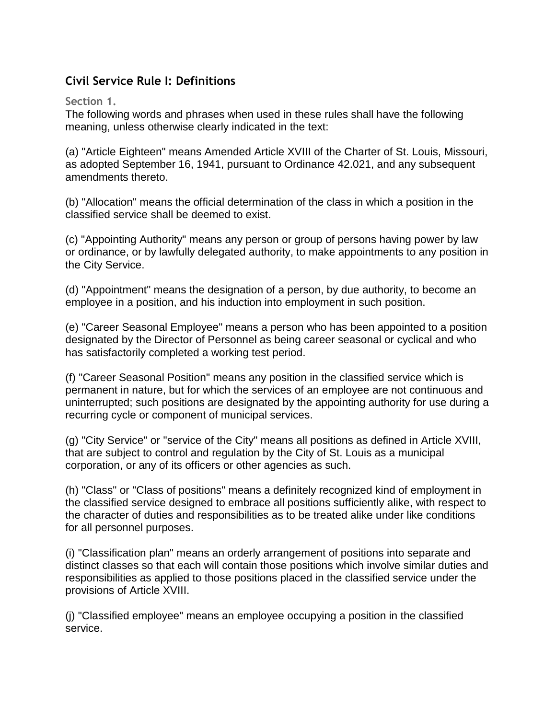## **Civil Service Rule I: Definitions**

## **Section 1.**

The following words and phrases when used in these rules shall have the following meaning, unless otherwise clearly indicated in the text:

(a) "Article Eighteen" means Amended Article XVIII of the Charter of St. Louis, Missouri, as adopted September 16, 1941, pursuant to Ordinance 42.021, and any subsequent amendments thereto.

(b) "Allocation" means the official determination of the class in which a position in the classified service shall be deemed to exist.

(c) "Appointing Authority" means any person or group of persons having power by law or ordinance, or by lawfully delegated authority, to make appointments to any position in the City Service.

(d) "Appointment" means the designation of a person, by due authority, to become an employee in a position, and his induction into employment in such position.

(e) "Career Seasonal Employee" means a person who has been appointed to a position designated by the Director of Personnel as being career seasonal or cyclical and who has satisfactorily completed a working test period.

(f) "Career Seasonal Position" means any position in the classified service which is permanent in nature, but for which the services of an employee are not continuous and uninterrupted; such positions are designated by the appointing authority for use during a recurring cycle or component of municipal services.

(g) "City Service" or "service of the City" means all positions as defined in Article XVIII, that are subject to control and regulation by the City of St. Louis as a municipal corporation, or any of its officers or other agencies as such.

(h) "Class" or "Class of positions" means a definitely recognized kind of employment in the classified service designed to embrace all positions sufficiently alike, with respect to the character of duties and responsibilities as to be treated alike under like conditions for all personnel purposes.

(i) "Classification plan" means an orderly arrangement of positions into separate and distinct classes so that each will contain those positions which involve similar duties and responsibilities as applied to those positions placed in the classified service under the provisions of Article XVIII.

(j) "Classified employee" means an employee occupying a position in the classified service.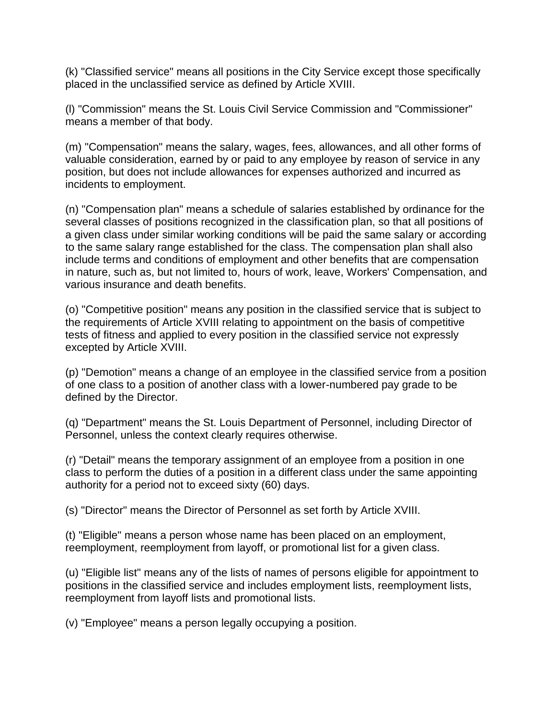(k) "Classified service" means all positions in the City Service except those specifically placed in the unclassified service as defined by Article XVIII.

(l) "Commission" means the St. Louis Civil Service Commission and "Commissioner" means a member of that body.

(m) "Compensation" means the salary, wages, fees, allowances, and all other forms of valuable consideration, earned by or paid to any employee by reason of service in any position, but does not include allowances for expenses authorized and incurred as incidents to employment.

(n) "Compensation plan" means a schedule of salaries established by ordinance for the several classes of positions recognized in the classification plan, so that all positions of a given class under similar working conditions will be paid the same salary or according to the same salary range established for the class. The compensation plan shall also include terms and conditions of employment and other benefits that are compensation in nature, such as, but not limited to, hours of work, leave, Workers' Compensation, and various insurance and death benefits.

(o) "Competitive position" means any position in the classified service that is subject to the requirements of Article XVIII relating to appointment on the basis of competitive tests of fitness and applied to every position in the classified service not expressly excepted by Article XVIII.

(p) "Demotion" means a change of an employee in the classified service from a position of one class to a position of another class with a lower-numbered pay grade to be defined by the Director.

(q) "Department" means the St. Louis Department of Personnel, including Director of Personnel, unless the context clearly requires otherwise.

(r) "Detail" means the temporary assignment of an employee from a position in one class to perform the duties of a position in a different class under the same appointing authority for a period not to exceed sixty (60) days.

(s) "Director" means the Director of Personnel as set forth by Article XVIII.

(t) "Eligible" means a person whose name has been placed on an employment, reemployment, reemployment from layoff, or promotional list for a given class.

(u) "Eligible list" means any of the lists of names of persons eligible for appointment to positions in the classified service and includes employment lists, reemployment lists, reemployment from layoff lists and promotional lists.

(v) "Employee" means a person legally occupying a position.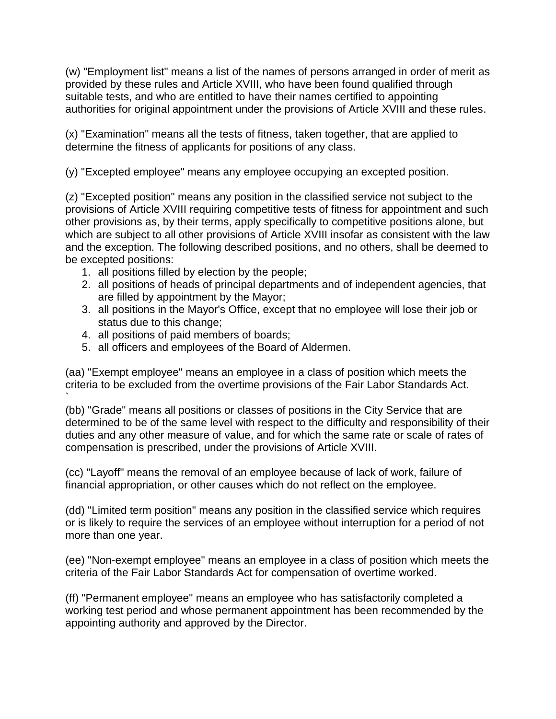(w) "Employment list" means a list of the names of persons arranged in order of merit as provided by these rules and Article XVIII, who have been found qualified through suitable tests, and who are entitled to have their names certified to appointing authorities for original appointment under the provisions of Article XVIII and these rules.

(x) "Examination" means all the tests of fitness, taken together, that are applied to determine the fitness of applicants for positions of any class.

(y) "Excepted employee" means any employee occupying an excepted position.

(z) "Excepted position" means any position in the classified service not subject to the provisions of Article XVIII requiring competitive tests of fitness for appointment and such other provisions as, by their terms, apply specifically to competitive positions alone, but which are subject to all other provisions of Article XVIII insofar as consistent with the law and the exception. The following described positions, and no others, shall be deemed to be excepted positions:

- 1. all positions filled by election by the people;
- 2. all positions of heads of principal departments and of independent agencies, that are filled by appointment by the Mayor;
- 3. all positions in the Mayor's Office, except that no employee will lose their job or status due to this change;
- 4. all positions of paid members of boards;

`

5. all officers and employees of the Board of Aldermen.

(aa) "Exempt employee" means an employee in a class of position which meets the criteria to be excluded from the overtime provisions of the Fair Labor Standards Act.

(bb) "Grade" means all positions or classes of positions in the City Service that are determined to be of the same level with respect to the difficulty and responsibility of their duties and any other measure of value, and for which the same rate or scale of rates of compensation is prescribed, under the provisions of Article XVIII.

(cc) "Layoff" means the removal of an employee because of lack of work, failure of financial appropriation, or other causes which do not reflect on the employee.

(dd) "Limited term position" means any position in the classified service which requires or is likely to require the services of an employee without interruption for a period of not more than one year.

(ee) "Non-exempt employee" means an employee in a class of position which meets the criteria of the Fair Labor Standards Act for compensation of overtime worked.

(ff) "Permanent employee" means an employee who has satisfactorily completed a working test period and whose permanent appointment has been recommended by the appointing authority and approved by the Director.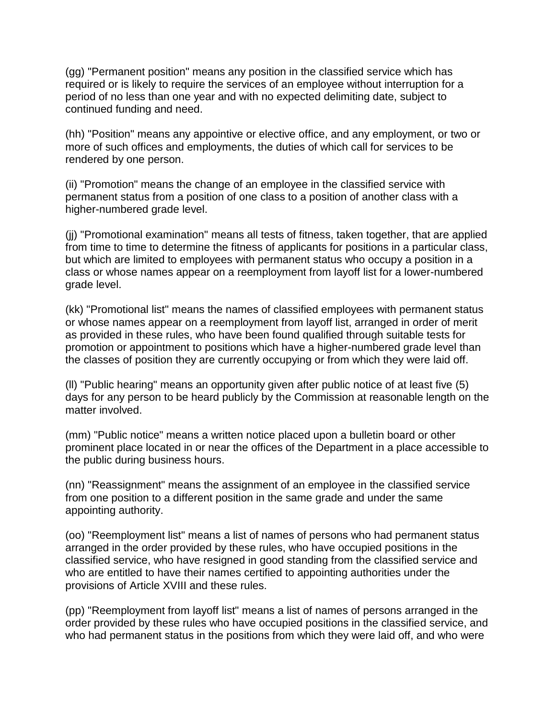(gg) "Permanent position" means any position in the classified service which has required or is likely to require the services of an employee without interruption for a period of no less than one year and with no expected delimiting date, subject to continued funding and need.

(hh) "Position" means any appointive or elective office, and any employment, or two or more of such offices and employments, the duties of which call for services to be rendered by one person.

(ii) "Promotion" means the change of an employee in the classified service with permanent status from a position of one class to a position of another class with a higher-numbered grade level.

(jj) "Promotional examination" means all tests of fitness, taken together, that are applied from time to time to determine the fitness of applicants for positions in a particular class, but which are limited to employees with permanent status who occupy a position in a class or whose names appear on a reemployment from layoff list for a lower-numbered grade level.

(kk) "Promotional list" means the names of classified employees with permanent status or whose names appear on a reemployment from layoff list, arranged in order of merit as provided in these rules, who have been found qualified through suitable tests for promotion or appointment to positions which have a higher-numbered grade level than the classes of position they are currently occupying or from which they were laid off.

(ll) "Public hearing" means an opportunity given after public notice of at least five (5) days for any person to be heard publicly by the Commission at reasonable length on the matter involved.

(mm) "Public notice" means a written notice placed upon a bulletin board or other prominent place located in or near the offices of the Department in a place accessible to the public during business hours.

(nn) "Reassignment" means the assignment of an employee in the classified service from one position to a different position in the same grade and under the same appointing authority.

(oo) "Reemployment list" means a list of names of persons who had permanent status arranged in the order provided by these rules, who have occupied positions in the classified service, who have resigned in good standing from the classified service and who are entitled to have their names certified to appointing authorities under the provisions of Article XVIII and these rules.

(pp) "Reemployment from layoff list" means a list of names of persons arranged in the order provided by these rules who have occupied positions in the classified service, and who had permanent status in the positions from which they were laid off, and who were